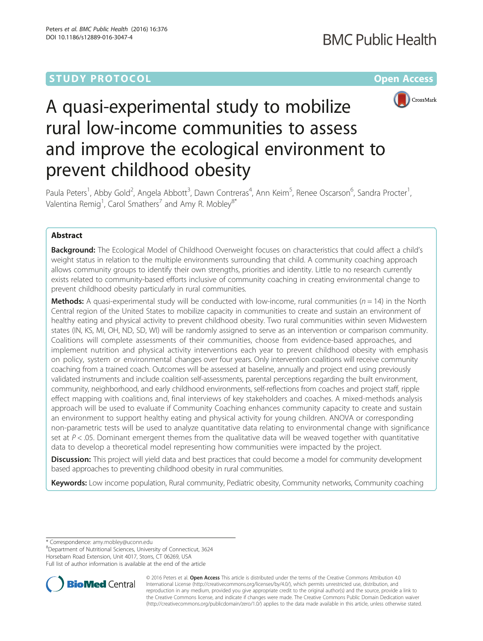## **STUDY PROTOCOL CONSUMING THE RESERVE ACCESS**



# A quasi-experimental study to mobilize rural low-income communities to assess and improve the ecological environment to prevent childhood obesity

Paula Peters<sup>1</sup>, Abby Gold<sup>2</sup>, Angela Abbott<sup>3</sup>, Dawn Contreras<sup>4</sup>, Ann Keim<sup>5</sup>, Renee Oscarson<sup>6</sup>, Sandra Procter<sup>1</sup> , Valentina Remig<sup>1</sup>, Carol Smathers<sup>7</sup> and Amy R. Mobley<sup>8\*</sup>

### Abstract

Background: The Ecological Model of Childhood Overweight focuses on characteristics that could affect a child's weight status in relation to the multiple environments surrounding that child. A community coaching approach allows community groups to identify their own strengths, priorities and identity. Little to no research currently exists related to community-based efforts inclusive of community coaching in creating environmental change to prevent childhood obesity particularly in rural communities.

**Methods:** A quasi-experimental study will be conducted with low-income, rural communities ( $n = 14$ ) in the North Central region of the United States to mobilize capacity in communities to create and sustain an environment of healthy eating and physical activity to prevent childhood obesity. Two rural communities within seven Midwestern states (IN, KS, MI, OH, ND, SD, WI) will be randomly assigned to serve as an intervention or comparison community. Coalitions will complete assessments of their communities, choose from evidence-based approaches, and implement nutrition and physical activity interventions each year to prevent childhood obesity with emphasis on policy, system or environmental changes over four years. Only intervention coalitions will receive community coaching from a trained coach. Outcomes will be assessed at baseline, annually and project end using previously validated instruments and include coalition self-assessments, parental perceptions regarding the built environment, community, neighborhood, and early childhood environments, self-reflections from coaches and project staff, ripple effect mapping with coalitions and, final interviews of key stakeholders and coaches. A mixed-methods analysis approach will be used to evaluate if Community Coaching enhances community capacity to create and sustain an environment to support healthy eating and physical activity for young children. ANOVA or corresponding non-parametric tests will be used to analyze quantitative data relating to environmental change with significance set at  $P < 0.05$ . Dominant emergent themes from the qualitative data will be weaved together with quantitative data to develop a theoretical model representing how communities were impacted by the project.

Discussion: This project will yield data and best practices that could become a model for community development based approaches to preventing childhood obesity in rural communities.

Keywords: Low income population, Rural community, Pediatric obesity, Community networks, Community coaching

\* Correspondence: [amy.mobley@uconn.edu](mailto:amy.mobley@uconn.edu) <sup>8</sup>

Department of Nutritional Sciences, University of Connecticut, 3624 Horsebarn Road Extension, Unit 4017, Storrs, CT 06269, USA Full list of author information is available at the end of the article



© 2016 Peters et al. Open Access This article is distributed under the terms of the Creative Commons Attribution 4.0 International License [\(http://creativecommons.org/licenses/by/4.0/](http://creativecommons.org/licenses/by/4.0/)), which permits unrestricted use, distribution, and reproduction in any medium, provided you give appropriate credit to the original author(s) and the source, provide a link to the Creative Commons license, and indicate if changes were made. The Creative Commons Public Domain Dedication waiver [\(http://creativecommons.org/publicdomain/zero/1.0/](http://creativecommons.org/publicdomain/zero/1.0/)) applies to the data made available in this article, unless otherwise stated.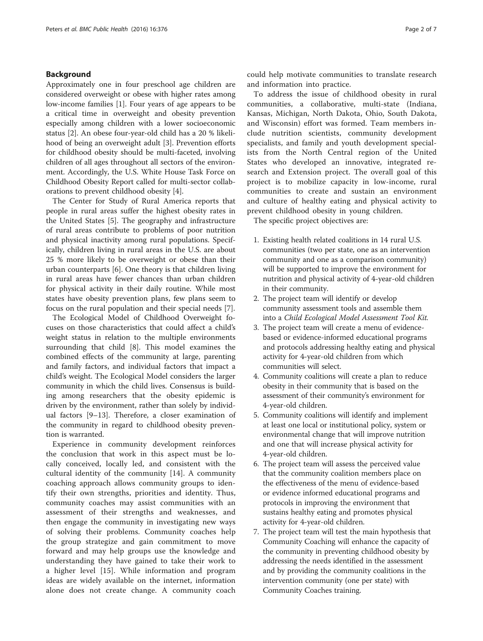#### Background

Approximately one in four preschool age children are considered overweight or obese with higher rates among low-income families [\[1](#page-6-0)]. Four years of age appears to be a critical time in overweight and obesity prevention especially among children with a lower socioeconomic status [[2](#page-6-0)]. An obese four-year-old child has a 20 % likelihood of being an overweight adult [\[3\]](#page-6-0). Prevention efforts for childhood obesity should be multi-faceted, involving children of all ages throughout all sectors of the environment. Accordingly, the U.S. White House Task Force on Childhood Obesity Report called for multi-sector collaborations to prevent childhood obesity [\[4](#page-6-0)].

The Center for Study of Rural America reports that people in rural areas suffer the highest obesity rates in the United States [[5\]](#page-6-0). The geography and infrastructure of rural areas contribute to problems of poor nutrition and physical inactivity among rural populations. Specifically, children living in rural areas in the U.S. are about 25 % more likely to be overweight or obese than their urban counterparts [\[6](#page-6-0)]. One theory is that children living in rural areas have fewer chances than urban children for physical activity in their daily routine. While most states have obesity prevention plans, few plans seem to focus on the rural population and their special needs [[7\]](#page-6-0).

The Ecological Model of Childhood Overweight focuses on those characteristics that could affect a child's weight status in relation to the multiple environments surrounding that child [\[8](#page-6-0)]. This model examines the combined effects of the community at large, parenting and family factors, and individual factors that impact a child's weight. The Ecological Model considers the larger community in which the child lives. Consensus is building among researchers that the obesity epidemic is driven by the environment, rather than solely by individual factors [[9](#page-6-0)–[13](#page-6-0)]. Therefore, a closer examination of the community in regard to childhood obesity prevention is warranted.

Experience in community development reinforces the conclusion that work in this aspect must be locally conceived, locally led, and consistent with the cultural identity of the community [[14\]](#page-6-0). A community coaching approach allows community groups to identify their own strengths, priorities and identity. Thus, community coaches may assist communities with an assessment of their strengths and weaknesses, and then engage the community in investigating new ways of solving their problems. Community coaches help the group strategize and gain commitment to move forward and may help groups use the knowledge and understanding they have gained to take their work to a higher level [[15\]](#page-6-0). While information and program ideas are widely available on the internet, information alone does not create change. A community coach could help motivate communities to translate research and information into practice.

To address the issue of childhood obesity in rural communities, a collaborative, multi-state (Indiana, Kansas, Michigan, North Dakota, Ohio, South Dakota, and Wisconsin) effort was formed. Team members include nutrition scientists, community development specialists, and family and youth development specialists from the North Central region of the United States who developed an innovative, integrated research and Extension project. The overall goal of this project is to mobilize capacity in low-income, rural communities to create and sustain an environment and culture of healthy eating and physical activity to prevent childhood obesity in young children.

The specific project objectives are:

- 1. Existing health related coalitions in 14 rural U.S. communities (two per state, one as an intervention community and one as a comparison community) will be supported to improve the environment for nutrition and physical activity of 4‐year‐old children in their community.
- 2. The project team will identify or develop community assessment tools and assemble them into a Child Ecological Model Assessment Tool Kit.
- 3. The project team will create a menu of evidence‐ based or evidence‐informed educational programs and protocols addressing healthy eating and physical activity for 4‐year‐old children from which communities will select.
- 4. Community coalitions will create a plan to reduce obesity in their community that is based on the assessment of their community's environment for 4‐year‐old children.
- 5. Community coalitions will identify and implement at least one local or institutional policy, system or environmental change that will improve nutrition and one that will increase physical activity for 4‐year‐old children.
- 6. The project team will assess the perceived value that the community coalition members place on the effectiveness of the menu of evidence‐based or evidence informed educational programs and protocols in improving the environment that sustains healthy eating and promotes physical activity for 4‐year‐old children.
- 7. The project team will test the main hypothesis that Community Coaching will enhance the capacity of the community in preventing childhood obesity by addressing the needs identified in the assessment and by providing the community coalitions in the intervention community (one per state) with Community Coaches training.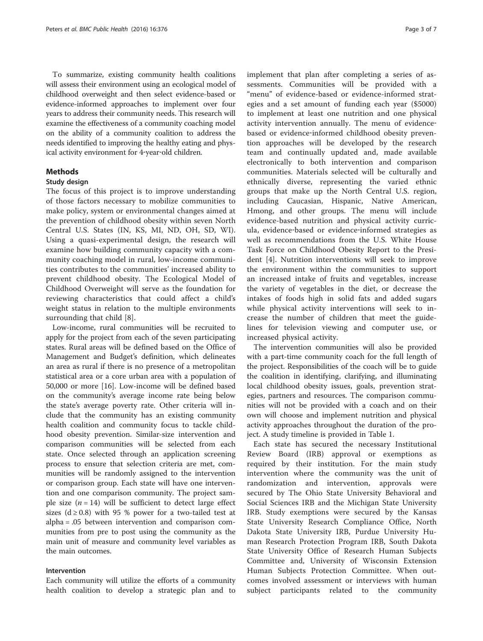To summarize, existing community health coalitions will assess their environment using an ecological model of childhood overweight and then select evidence-based or evidence-informed approaches to implement over four years to address their community needs. This research will examine the effectiveness of a community coaching model on the ability of a community coalition to address the needs identified to improving the healthy eating and physical activity environment for 4‐year‐old children.

#### Methods

#### Study design

The focus of this project is to improve understanding of those factors necessary to mobilize communities to make policy, system or environmental changes aimed at the prevention of childhood obesity within seven North Central U.S. States (IN, KS, MI, ND, OH, SD, WI). Using a quasi-experimental design, the research will examine how building community capacity with a community coaching model in rural, low-income communities contributes to the communities' increased ability to prevent childhood obesity. The Ecological Model of Childhood Overweight will serve as the foundation for reviewing characteristics that could affect a child's weight status in relation to the multiple environments surrounding that child [[8\]](#page-6-0).

Low-income, rural communities will be recruited to apply for the project from each of the seven participating states. Rural areas will be defined based on the Office of Management and Budget's definition, which delineates an area as rural if there is no presence of a metropolitan statistical area or a core urban area with a population of 50,000 or more [\[16\]](#page-6-0). Low-income will be defined based on the community's average income rate being below the state's average poverty rate. Other criteria will include that the community has an existing community health coalition and community focus to tackle childhood obesity prevention. Similar-size intervention and comparison communities will be selected from each state. Once selected through an application screening process to ensure that selection criteria are met, communities will be randomly assigned to the intervention or comparison group. Each state will have one intervention and one comparison community. The project sample size  $(n = 14)$  will be sufficient to detect large effect sizes  $(d \ge 0.8)$  with 95 % power for a two-tailed test at alpha = .05 between intervention and comparison communities from pre to post using the community as the main unit of measure and community level variables as the main outcomes.

#### Intervention

Each community will utilize the efforts of a community health coalition to develop a strategic plan and to

implement that plan after completing a series of assessments. Communities will be provided with a "menu" of evidence-based or evidence-informed strategies and a set amount of funding each year (\$5000) to implement at least one nutrition and one physical activity intervention annually. The menu of evidence‐ based or evidence‐informed childhood obesity prevention approaches will be developed by the research team and continually updated and, made available electronically to both intervention and comparison communities. Materials selected will be culturally and ethnically diverse, representing the varied ethnic groups that make up the North Central U.S. region, including Caucasian, Hispanic, Native American, Hmong, and other groups. The menu will include evidence-based nutrition and physical activity curricula, evidence‐based or evidence‐informed strategies as well as recommendations from the U.S. White House Task Force on Childhood Obesity Report to the President [\[4](#page-6-0)]. Nutrition interventions will seek to improve the environment within the communities to support an increased intake of fruits and vegetables, increase the variety of vegetables in the diet, or decrease the intakes of foods high in solid fats and added sugars while physical activity interventions will seek to increase the number of children that meet the guidelines for television viewing and computer use, or increased physical activity.

The intervention communities will also be provided with a part-time community coach for the full length of the project. Responsibilities of the coach will be to guide the coalition in identifying, clarifying, and illuminating local childhood obesity issues, goals, prevention strategies, partners and resources. The comparison communities will not be provided with a coach and on their own will choose and implement nutrition and physical activity approaches throughout the duration of the project. A study timeline is provided in Table [1](#page-3-0).

Each state has secured the necessary Institutional Review Board (IRB) approval or exemptions as required by their institution. For the main study intervention where the community was the unit of randomization and intervention, approvals were secured by The Ohio State University Behavioral and Social Sciences IRB and the Michigan State University IRB. Study exemptions were secured by the Kansas State University Research Compliance Office, North Dakota State University IRB, Purdue University Human Research Protection Program IRB, South Dakota State University Office of Research Human Subjects Committee and, University of Wisconsin Extension Human Subjects Protection Committee. When outcomes involved assessment or interviews with human subject participants related to the community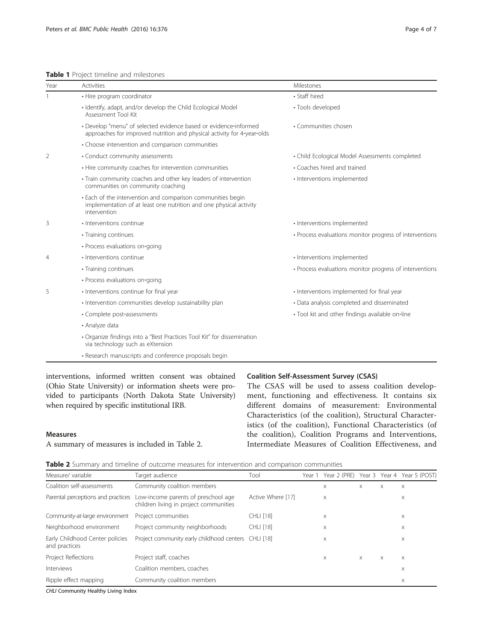Table 1 Project timelin

<span id="page-3-0"></span>

| Year | Activities                                                                                                                                        | <b>Milestones</b>                              |  |  |  |
|------|---------------------------------------------------------------------------------------------------------------------------------------------------|------------------------------------------------|--|--|--|
|      | • Hire program coordinator                                                                                                                        | • Staff hired                                  |  |  |  |
|      | • Identify, adapt, and/or develop the Child Ecological Model<br>Assessment Tool Kit                                                               | • Tools developed                              |  |  |  |
|      | • Develop "menu" of selected evidence based or evidence-informed<br>approaches for improved nutrition and physical activity for 4-year-olds       | • Communities chosen                           |  |  |  |
|      | • Choose intervention and comparison communities                                                                                                  |                                                |  |  |  |
| 2    | • Conduct community assessments                                                                                                                   | • Child Ecological Model Assessments completed |  |  |  |
|      | • Hire community coaches for intervention communities                                                                                             | • Coaches hired and trained                    |  |  |  |
|      | • Train community coaches and other key leaders of intervention<br>communities on community coaching                                              | • Interventions implemented                    |  |  |  |
|      | • Each of the intervention and comparison communities begin<br>implementation of at least one nutrition and one physical activity<br>intervention |                                                |  |  |  |
| 3    | · Interventions continue                                                                                                                          | • Interventions implemented                    |  |  |  |
|      |                                                                                                                                                   |                                                |  |  |  |

- Training continues Process evaluations monitor progress of interventions
- 4 Interventions continue Interventions implemented
	- Training continues Process evaluations monitor progress of interventions
- 5 Interventions continue for final year Interventions implemented for final year
	- Intervention communities develop sustainability plan Data analysis completed and disseminated
	- Complete post-assessments Tool kit and other findings available on-line
	-

• Analyze data

• Process evaluations on-going

• Process evaluations on-going

• Organize findings into a "Best Practices Tool Kit" for dissemination via technology such as eXtension

Table 2 Summary and timeline of outcome measures for intervention and comparison communities

• Research manuscripts and conference proposals begin

interventions, informed written consent was obtained (Ohio State University) or information sheets were provided to participants (North Dakota State University) when required by specific institutional IRB.

#### Measures

A summary of measures is included in Table 2.

#### Coalition Self-Assessment Survey (CSAS)

The CSAS will be used to assess coalition development, functioning and effectiveness. It contains six different domains of measurement: Environmental Characteristics (of the coalition), Structural Characteristics (of the coalition), Functional Characteristics (of the coalition), Coalition Programs and Interventions, Intermediate Measures of Coalition Effectiveness, and

| Measure/variable                                 | Target audience                                                               | Tool              |   |          |          | Year 1 Year 2 (PRE) Year 3 Year 4 Year 5 (POST) |
|--------------------------------------------------|-------------------------------------------------------------------------------|-------------------|---|----------|----------|-------------------------------------------------|
| Coalition self-assessments                       | Community coalition members                                                   |                   | X | X        | X        | $\times$                                        |
| Parental perceptions and practices               | Low-income parents of preschool age<br>children living in project communities | Active Where [17] | X |          |          | X                                               |
| Community-at-large environment                   | Project communities                                                           | <b>CHLI [18]</b>  | X |          |          | X                                               |
| Neighborhood environment                         | Project community neighborhoods                                               | <b>CHLI [18]</b>  | X |          |          | $\times$                                        |
| Early Childhood Center policies<br>and practices | Project community early childhood centers CHLI [18]                           |                   | X |          |          | X                                               |
| Project Reflections                              | Project staff, coaches                                                        |                   | X | $\times$ | $\times$ | $\times$                                        |
| Interviews                                       | Coalition members, coaches                                                    |                   |   |          |          | X                                               |
| Ripple effect mapping                            | Community coalition members                                                   |                   |   |          |          | X                                               |

CHLI Community Healthy Living Index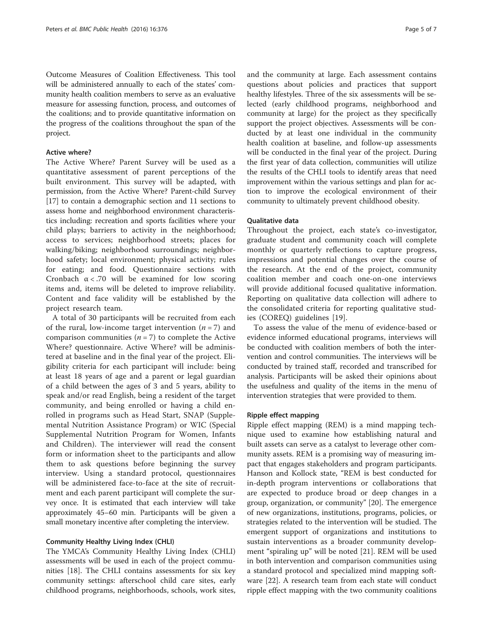Outcome Measures of Coalition Effectiveness. This tool will be administered annually to each of the states' community health coalition members to serve as an evaluative measure for assessing function, process, and outcomes of the coalitions; and to provide quantitative information on the progress of the coalitions throughout the span of the project.

#### Active where?

The Active Where? Parent Survey will be used as a quantitative assessment of parent perceptions of the built environment. This survey will be adapted, with permission, from the Active Where? Parent-child Survey [[17](#page-6-0)] to contain a demographic section and 11 sections to assess home and neighborhood environment characteristics including: recreation and sports facilities where your child plays; barriers to activity in the neighborhood; access to services; neighborhood streets; places for walking/biking; neighborhood surroundings; neighborhood safety; local environment; physical activity; rules for eating; and food. Questionnaire sections with Cronbach  $\alpha$  < .70 will be examined for low scoring items and, items will be deleted to improve reliability. Content and face validity will be established by the project research team.

A total of 30 participants will be recruited from each of the rural, low-income target intervention  $(n = 7)$  and comparison communities  $(n = 7)$  to complete the Active Where? questionnaire. Active Where? will be administered at baseline and in the final year of the project. Eligibility criteria for each participant will include: being at least 18 years of age and a parent or legal guardian of a child between the ages of 3 and 5 years, ability to speak and/or read English, being a resident of the target community, and being enrolled or having a child enrolled in programs such as Head Start, SNAP (Supplemental Nutrition Assistance Program) or WIC (Special Supplemental Nutrition Program for Women, Infants and Children). The interviewer will read the consent form or information sheet to the participants and allow them to ask questions before beginning the survey interview. Using a standard protocol, questionnaires will be administered face-to-face at the site of recruitment and each parent participant will complete the survey once. It is estimated that each interview will take approximately 45–60 min. Participants will be given a small monetary incentive after completing the interview.

#### Community Healthy Living Index (CHLI)

The YMCA's Community Healthy Living Index (CHLI) assessments will be used in each of the project communities [\[18\]](#page-6-0). The CHLI contains assessments for six key community settings: afterschool child care sites, early childhood programs, neighborhoods, schools, work sites, and the community at large. Each assessment contains questions about policies and practices that support healthy lifestyles. Three of the six assessments will be selected (early childhood programs, neighborhood and community at large) for the project as they specifically support the project objectives. Assessments will be conducted by at least one individual in the community health coalition at baseline, and follow-up assessments will be conducted in the final year of the project. During the first year of data collection, communities will utilize the results of the CHLI tools to identify areas that need improvement within the various settings and plan for action to improve the ecological environment of their community to ultimately prevent childhood obesity.

#### Qualitative data

Throughout the project, each state's co-investigator, graduate student and community coach will complete monthly or quarterly reflections to capture progress, impressions and potential changes over the course of the research. At the end of the project, community coalition member and coach one-on-one interviews will provide additional focused qualitative information. Reporting on qualitative data collection will adhere to the consolidated criteria for reporting qualitative studies (COREQ) guidelines [[19](#page-6-0)].

To assess the value of the menu of evidence-based or evidence informed educational programs, interviews will be conducted with coalition members of both the intervention and control communities. The interviews will be conducted by trained staff, recorded and transcribed for analysis. Participants will be asked their opinions about the usefulness and quality of the items in the menu of intervention strategies that were provided to them.

#### Ripple effect mapping

Ripple effect mapping (REM) is a mind mapping technique used to examine how establishing natural and built assets can serve as a catalyst to leverage other community assets. REM is a promising way of measuring impact that engages stakeholders and program participants. Hanson and Kollock state, "REM is best conducted for in-depth program interventions or collaborations that are expected to produce broad or deep changes in a group, organization, or community" [[20](#page-6-0)]. The emergence of new organizations, institutions, programs, policies, or strategies related to the intervention will be studied. The emergent support of organizations and institutions to sustain interventions as a broader community development "spiraling up" will be noted [\[21](#page-6-0)]. REM will be used in both intervention and comparison communities using a standard protocol and specialized mind mapping software [[22](#page-6-0)]. A research team from each state will conduct ripple effect mapping with the two community coalitions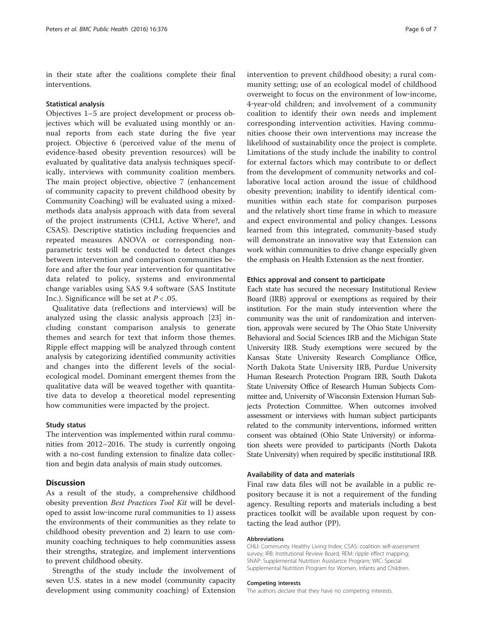in their state after the coalitions complete their final interventions.

#### Statistical analysis

Objectives 1–5 are project development or process objectives which will be evaluated using monthly or annual reports from each state during the five year project. Objective 6 (perceived value of the menu of evidence-based obesity prevention resources) will be evaluated by qualitative data analysis techniques specifically, interviews with community coalition members. The main project objective, objective 7 (enhancement of community capacity to prevent childhood obesity by Community Coaching) will be evaluated using a mixedmethods data analysis approach with data from several of the project instruments (CHLI, Active Where?, and CSAS). Descriptive statistics including frequencies and repeated measures ANOVA or corresponding nonparametric tests will be conducted to detect changes between intervention and comparison communities before and after the four year intervention for quantitative data related to policy, systems and environmental change variables using SAS 9.4 software (SAS Institute Inc.). Significance will be set at  $P < .05$ .

Qualitative data (reflections and interviews) will be analyzed using the classic analysis approach [\[23](#page-6-0)] including constant comparison analysis to generate themes and search for text that inform those themes. Ripple effect mapping will be analyzed through content analysis by categorizing identified community activities and changes into the different levels of the socialecological model. Dominant emergent themes from the qualitative data will be weaved together with quantitative data to develop a theoretical model representing how communities were impacted by the project.

#### Study status

The intervention was implemented within rural communities from 2012–2016. The study is currently ongoing with a no-cost funding extension to finalize data collection and begin data analysis of main study outcomes.

#### **Discussion**

As a result of the study, a comprehensive childhood obesity prevention Best Practices Tool Kit will be developed to assist low‐income rural communities to 1) assess the environments of their communities as they relate to childhood obesity prevention and 2) learn to use community coaching techniques to help communities assess their strengths, strategize, and implement interventions to prevent childhood obesity.

Strengths of the study include the involvement of seven U.S. states in a new model (community capacity development using community coaching) of Extension

intervention to prevent childhood obesity; a rural community setting; use of an ecological model of childhood overweight to focus on the environment of low‐income, 4‐year‐old children; and involvement of a community coalition to identify their own needs and implement corresponding intervention activities. Having communities choose their own interventions may increase the likelihood of sustainability once the project is complete. Limitations of the study include the inability to control for external factors which may contribute to or deflect from the development of community networks and collaborative local action around the issue of childhood obesity prevention; inability to identify identical communities within each state for comparison purposes and the relatively short time frame in which to measure and expect environmental and policy changes. Lessons learned from this integrated, community-based study will demonstrate an innovative way that Extension can work within communities to drive change especially given the emphasis on Health Extension as the next frontier.

#### Ethics approval and consent to participate

Each state has secured the necessary Institutional Review Board (IRB) approval or exemptions as required by their institution. For the main study intervention where the community was the unit of randomization and intervention, approvals were secured by The Ohio State University Behavioral and Social Sciences IRB and the Michigan State University IRB. Study exemptions were secured by the Kansas State University Research Compliance Office, North Dakota State University IRB, Purdue University Human Research Protection Program IRB, South Dakota State University Office of Research Human Subjects Committee and, University of Wisconsin Extension Human Subjects Protection Committee. When outcomes involved assessment or interviews with human subject participants related to the community interventions, informed written consent was obtained (Ohio State University) or information sheets were provided to participants (North Dakota State University) when required by specific institutional IRB.

#### Availability of data and materials

Final raw data files will not be available in a public repository because it is not a requirement of the funding agency. Resulting reports and materials including a best practices toolkit will be available upon request by contacting the lead author (PP).

#### Abbreviations

CHLI: Community Healthy Living Index; CSAS: coalition self-assessment survey; IRB: Institutional Review Board; REM: ripple effect mapping; SNAP: Supplemental Nutrition Assistance Program; WIC: Special Supplemental Nutrition Program for Women, Infants and Children.

#### Competing interests

The authors declare that they have no competing interests.